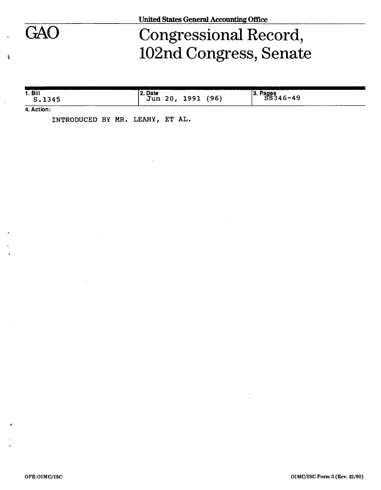

Ă

# GAO Congressional Record, 102nd Congress, Senate

|  | 1. <b>B</b><br>S.1345 | 2. Date<br>(96)<br>1991<br>Jun<br>20, | $\frac{13. \text{ Pages}}{58346-49}$ |
|--|-----------------------|---------------------------------------|--------------------------------------|
|--|-----------------------|---------------------------------------|--------------------------------------|

**4. Action:** 

**INTRODUCED BY MR. LEAHY, ET AL.**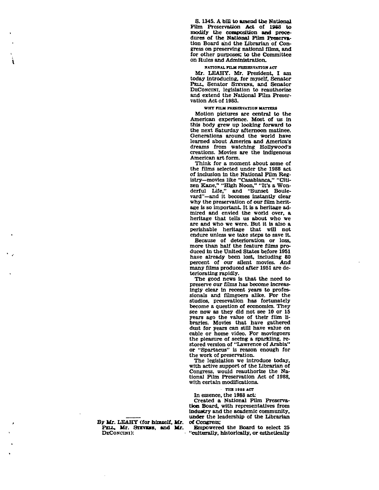**S. 1345. A bill to amend the National Film Preservation Act of 1988 to modify the composition and procedures of the National Film Preservation Board and the Librarian of Congress on preserving national films, and for other purposes; to the Committee on Rules and Administration.** 

## **WATIOHAL FILM PRESERVATION ACT**

**Mr. LEAHY. Mr. President, I am today introducing, for myself. Senator PELL, Senator STEVENS, and Senator DECONCINI, legislation to reauthorize and extend the National Film Preservation Act of 1988.** 

## **WHY** *TUM* **PRESERVATION MATTERS**

**Motion pictures are central to the American experience. Most of us in this body grew up looking forward to the next Saturday afternoon matinee. Generations around the world have learned about America and America's dreams from watching Hollywood's creations. Movies are the indigenous American art form.** 

**Think for a moment about some of the films selected under the 1988 act of inclusion in the National Film Registry—movies like "Casablanca," "Citizen Kane," "High Noon," "It's a Wonderful Life," and "Sunset Boulevard"—and it becomes instantly clear why the preservation of our film heritage is so important. It is a heritage admired and envied the world over, a heritage that tells us about who we are and who we were. But it is also a perishable heritage that will not endure unless we take steps to save it.** 

**Because of deterioration or loss, more than half the feature films produced in the United States before 1951 have already been lost, including 80 percent of our silent movies. And many films produced after 1951 are deteriorating rapidly.** 

**The good news is that the need to preserve our films has become increasingly clear in recent years to professionals and filmgoers alike. For the studios, presevation has fortunately become a question of economics. They see now as they did not see 10 or 15 years ago the value of their film libraries. Movies that have gathered dust for years can still have value on cable or home video. For moviegoers the pleasure of seeing a sparkling, restored version of "Lawrence of Arabia" or "Spartacus" is reason enough for the work of preservation.** 

**The legislation we introduce today, with active support of the Librarian of Congress, would reauthorize the National Film Preservation Act of 1988, with certain modifications.** 

**- THE 198 8 ACT** 

**In essence, the 1988 act:** 

**Created a National Film Preservation Board, with representatives from industry and the academic community, under the leadership of the Librarian of Congress;** 

**Empowered the Board to select 25 "culturally, historically, or esthetically** 

**By Mr. LEAHT (for himself, Mr.**  PELL, Mr. STEVENS, and Mr. **DECONCIKI):**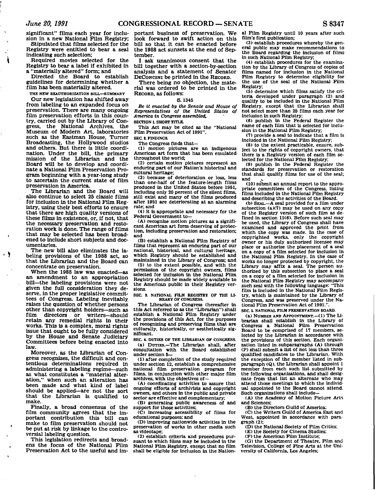**significant" films each year for inclusion in a new National Film Registry;** 

**Stipulated that films selected for the Registry were entitled to bear a seal indicating such selection;** 

**Required movies selected for the Registry to bear a label If exhibited in a "materially altered" form; and** 

**Directed the Board to establish guidelines for determining whether a film has been materially altered.** 

**THE NEW REAUTHORIZATION BILL—SUMMARY** 

**Our new legislation has shifted away from labeling to an expanded focus on preservation. There are many ongoing film preservation efforts in this country, carried out by the Library of Congress, the National Archives, the Museum of Modem Art, laboratories such as the Eastman House, Turner Broadcasting, the Hollywood studios and others. But there is little coordination. Under the bill, the primary mission of the Librarian and the Board will be to develop and coordinate a National Film Preservation Program beginning with a year-long study to ascertain the current state of film preservation in America.** 

**The Librarian and the Board will also continue to select 25 classic films for inclusion in the National Film Registry, using their best efforts to ensure that there are high quality versions of these films In existence, or, if not, that the necessary preservation and restoration work is done. The range of films that may be selected has been broadened to include short subjects and documentaries.** 

**The new bill also eliminates the labeling provisions of the 1988 act, so that the Librarian and the Board can concentrate on preservation.** 

 $\cdot$  )

**When the 1988 law was enacted—as an amendment to an appropriation bill—the labeling provisions were not given the full consideration they deserve, in the proper legislative committees of Congress. Labeling inevitably, raises the question of whether persons other than copyright holders—such as film directors or writers—should retain any remedial rights in their works. This is a complex, moral rights issue that ought to be fully considered by the House and Senate Judiciary Committees before being enacted into law.** 

**Moreover, as the Librarian of Congress recognizes, the difficult and contentious determinations required in administering a labeling regime—such as what constitutes a "material alteration," when such an alteration has been made and what kind of label should be applied—are not the sort that the Librarian is qualified to make.** 

**Finally, a broad consensus of the film community agrees that the important contribution this bill can make to film preservation should not be put at risk by linkage to the controversial labeling question.** 

**This legislation redirects and broadens the focus of the National Film Preservation Act to the useful and im-** **portant business of preservation. We look forward to swift action on this bill so that it can be enacted before the 1988 act sunsets at the end of September.** 

**I ask unanimous consent that the bill together with a section-by-section analysis and a statement of Senator DECONCINI be printed in the RECORD.** 

**There being no objection, the material was ordered to be printed in the RECORD, as follows:** 

**S. 1345** 

*Be it enacted by the Senate and House of Representatives of the United States of America in Congress assembled,*  **SECTION 1. SHORT TITLE.** 

**This Act may be cited as the "National Film Preservation Act of 1991".** 

**SEC. 2. FINDINGS.** 

**The Congress finds that—** 

**(1) motion pictures are an Indigenous American art form that has been emulated throughout the world;** 

**(2) certain motion pictures represent an enduring part of our Nation's historical and cultural heritage;** 

**(3) because of deterioration or loss, less than one-half of the feature-length films produced in the United States before 1951, including only 20 percent of the silent films, still exist and many of the films produced after 1951 are deteriorating at an alarming rate; and** 

**(4) it is appropriate and necessary for the Federal Government to—** 

**(A) recognize motion pictures as a significant American art form deserving of protection, including preservation and restoration; and** 

**(B) establish a National Film Registry of films that represent an enduring part of our national, historical, and cultural heritage, which Registry should be established and maintained in the Library of Congress; and** 

**(5) to the extent possible, and with the permission of the copyright owners, films selected for inclusion in the National Film Registry should be made widely available to the American public In their Registry versions.** 

SEC. 3. NATIONAL FILM REGISTRY OF THE LI-**BRAKY OF CONGRESS.** 

**The Librarian of Congress (hereafter in this Act referred to as the "Librarian") shall establish a National Film Registry under the provisions of this Act, for the purposes of recognizing and preserving films that are culturally, historically, or aesthetically significant.** 

**SEC. 4. DUTIES OF THE LIBRARIAN OF CONGRESS. (a) DUTIES.—The Librarian shall, after consultation with the Board established under section 5—** 

**(1) after completion of the study required under section 12, establish a comprehensive national film preservation program for films. In conjunction with other major film archives, with the objectives of—** 

**(A) coordinating activities to assure that ongoing efforts of archivists and copyright owners, and others In the public and private sector are effective and complementary;** 

**(B) generating public awareness of and support for those activities;** 

**(C) increasing accessibility of films for educational purposes; and** 

**(D) Improving nationwide activities in the preservation of works in other media such as videotape;** 

**(2) establish criteria and procedures pursuant to which films may be Included in the National Film Registry, except that no film shall be eligible for inclusion in the Nation-** **al Film Registry until 10 years after such film's first publication;** 

**(3) establish procedures whereby the general public may make recommendations to the Board regarding the Inclusion of films in such National Film Registry;** 

**(4) establish procedures for the examination by the Library of Congress of copies of films named for inclusion in the National Film Registry to determine eligibility for the use of the seal of the National Film Registry;** 

**(5) determine which films satisfy the criteria developed under paragraph (2) and qualify to be included in the National Film Registry, except that the Librarian shall not select more than 25 films each year for inclusion in such Registry;** 

**(6) publish in the Federal Register the name of each film that is selected for inclusion in the National Film Registry;** 

**<7) provide a seal to indicate that a film is included in the National Film Registry;** 

**(8) to the extent practicable, ensure, subject to the rights of copyright owners, that there is a Registry version of each film selected for the National Film Registry;** 

**(9) publish in the Federal Register the standards for preservation or restoration that shall qualify films for use of the seal;** and

**(10) submit an annual report to the appropriate committees of the Congress, listing films included in the National Film Registry and describing the activities of the Board.** 

**(b) SEAL.—A seal provided for a film under subsection (a)(7) may be used on any copy of the Registry version of such film as defined in section 11(6). Before such seal may be used, the Library of Congress shall have examined and approved the print from which the copy was made. In the case of copyrighted works, only the copyright owner or his duly authorized licensee may place or authorize the placement of a seal on a copy of a film selected for inclusion in the National Film Registry. In the case of works no longer protected by copyright, the Library may affix a seal. The person authorized by this subsection to place a seal on a copy of a film selected for inclusion in the National Film Registry may accompany such seal with the following language: "This film is included in the National Film Registry, which is maintained by the Library of Congress, and was preserved under the National Film Preservation Act of 1991.".** 

**SEC. 5. NATIONAL FILM PRESERVATION BOARD.** 

**(a) NUMBER AND APPOINTMENT.—(1) The Librarian shall establish in the Library of Congress a National Film Preservation Board to be comprised of 17 members, selected by the Librarian in accordance with the provisions of this section. Each organization listed in subparagraphs (A) through (P) shall submit a list of not less than three qualified candidates to the Librarian. With the exception of the member listed in subparagraph (Q), the Librarian shall appoint 1 member from each such list submitted by the following organizations, and shall designate from that list an alternate who may attend those meetings to which the individual appointed to the Board cannot attend. Such organizations shall include—** 

**(A) the Academy of Motion Picture Arts and Sciences;** 

**(B) the Directors Guild of America;** 

**(C) the Writers Guild of America East and West, appointed in accordance with paragraph (2):** 

**(D) the National Society of Film Critics;** 

**(E) the Society for Cinema Studies;** 

**(F) the American Film Institute;** 

**(G) the Department of Theatre, Film and Television, College of Fine Arts at the University of California, Los Angeles;**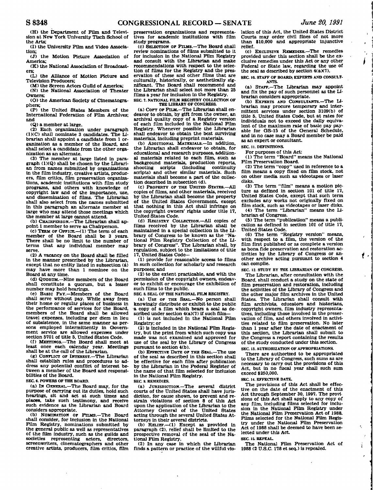$\epsilon$ 

**(H) the Department of Film and Television at New York University Tisch School of the Arts;** 

**(1) the University Film and Video Association;** 

**(J) the Motion Picture Association of America;** 

**(K) the National Association of Broadcasters;** 

**(L) the Alliance of Motion Picture and Television Producers;** 

**(M) the Screen Actors Guild of America; (N) the National Association of Theater** 

**Owners; (O) the American Society of Cinematogra-**

**phers; (P) the United States Members of the International Federation of Film Archives; and** 

**(Q) a member at large.** 

**(2) Each organization under paragraph (IXC) shall nominate 3 candidates. The Librarian shall appoint a candidate from 1 organization as a member of the Board, and shall select a candidate from the other organization as an alternate.** 

**(3) The member at large listed in paragraph (1)(Q) shall be chosen by the Librarian from names submitted by organizations in the film Industry, creative artists, producers, film critics, film preservation organizations, academic institutions with film study programs, and others with knowledge of copyright law and of the Importance, use, and dissemination of films. The Librarian shall also select from the names submitted in this paragraph an alternate member at large who may attend those meetings which the member at large cannot attend.** 

**(b) CHAIRPERSON.—The Librarian shall appoint 1 member to serve as Chairperson.** 

**(c) TERM OF OFFICE.—<l) The term of each member of the Board shall be 3 years. There shall be no limit to the number of terms that any individual member may serve.** 

**(2) A vacancy on the Board shall be filled In the manner prescribed by the Librarian, except that no entity listed in subsection (a) may have more than 1 nominee on the Board at any time.** 

**(d) QUORUM.—Nine members of the Board shall constitute a quorum, but a lesser number may hold hearings.** 

**(e) BASIC PAY.—Members of the Board shall serve without pay. While away from their home or regular places of business in the performance of services for the Board, members of the Board shall be allowed travel expenses, including per diem in lieu of subsistence, in the same manner as persons employed intermittently in Government service are allowed expenses under section 5701 of title 5, United States Code.** 

**(f) MEETINGS.—The Board shall meet at least once each calendar year. Meetings shall be at the call of the Librarian.** 

**(g) CONFLICT OF INTEREST.—The Librarian shall establish rules and procedures to address any potential conflict of interest between a member of the Board and responsibilities of the Board.** 

**SEC 6. POWERS OF THE BOARD.** 

**(a) IN GENERAL.—The Board may, for the purpose of carrying out its duties, hold such hearings, sit and act at such times and places, take such testimony, and receive such evidence as the Librarian and Board considers appropriate.** 

**(b) NOMINATION OF FILMS.—The Board shall consider, for inclusion in the National Film Registry, nominations submitted by the general public as well as representatives of the film industry, such as the guilds and societies representing actors, directors, screenwriters, cinematographers and other creative artists, producers, film critics, film** 

**preservation organizations and representatives for academic institutions with film study programs.** 

**(c) SELECTION OF FILMS.—The Board shall review nominations of films submitted to It for inclusion in the National Film Registry and consult with the Librarian and make recommendations with respect to the selection of films for the Registry and the preservation of these and other films that are culturally, historically, or aesthetically significant. The Board shall recommend and the Librarian shall select not more than 25 films a year for inclusion in the Registry. SEC. 7. NATIONAL FILM REGISTRY COLLECTION OF** 

## **THE UBRARY OF CONGRESS.**

(a) COPY OF FILM.-The Librarian shall en**deavor to obtain, by gift from the owner, an archival quality copy of a Registry version of each film included in the National Film Registry. Whenever possible the Librarian shall endeavor to obtain the best surviving materials, Including preprint materials.** 

**(b) ADDITIONAL MATERIALS.—In addition, the Librarian shall endeavor to obtain, for educational and research purposes, additional materials related to each film, such as background materials, production reports, shooting scripts (including continuity scripts) and other similar materials. Such materials shall become a part of the collection described in subsection (d).** 

**(c) PROPERTY OF THE UNITED STATES.—All copies of films, and other materials, received by the Librarian shall become the property of the United States Government, except that nothing in this Act shall infringe on the copyright owners' rights under title 17, United States Code.** 

**(d) REGISTRY COLLECTION.—All copies of films received by the Librarian shall be**  maintained in a special collection in the Li**brary of Congress to be known as the "National Film Registry Collection of the Library of Congress". The Librarian shall, by regulation, subject to the limitations of title 17, United States Code—** 

**(1) provide for reasonable access to films in such collection for scholarly and research purposes; and** 

**(2) to the extent practicable, and with the permission of the copyright owners, endeavor to exhibit or encourage the exhibition of such films to the public.** 

**SEC 8. SEAL OF THE NATIONAL FILM REGISTRY.** 

**(a) USE OF THE SEAL.—No person shall knowingly distribute or exhibit to the public a copy of a film which bears a seal as described under section 4(a)(7) if such film—** 

**(1) is not included in the National Film Registry; or** 

**(2) is included in the National Film Registry, but the print from which such copy was made was not examined and approved for use of the seal by the Library of Congress pursuant to section 4(b).** 

**(b) EFFECTIVE DATE OF THE SEAL.—The use of the seal as described in this section shall be effective for each film after publication by the Librarian In the Federal Register of the name of that film selected for Inclusion in the National Film Registry. SEC 9. REMEDIES.** 

**(a) JURISDICTION.—The several district courts of the United States shall have jurisdiction, for cause shown, to prevent and restrain violations of section 8 of this Act upon the application of the Librarian to the Attorney General of the United States acting through the several United States Attorneys in their several districts.** 

**(b) RELIEF.—(1) Except as provided In paragraph (2), relief shall be limited to the prospective removal cf the seal of the National Film Registry.** 

**(2) In any case in which the Librarian finds a pattern or practice of the willful vio-** **lation of this Act, the United States District Courts may order civil fines of not more than \$10,000 and appropriate injunctive relief.** 

**(c) EXCLUSIVE REMEDIES.—The remedies provided under this section shall be the exclusive remedies under this Act or any other Federal or State law, regarding the use of the seal as described by section 4(aX7>.** 

**SEC 10. STAFF OF BOARD; EXPERTS AND CONSULT-ANTS.** 

**(a) STAFF.—The librarian may appoint and fix the pay of such personnel as the Librarian considers appropriate.** 

**(b) EXPERTS AND CONSULTANTS.—The Librarian may procure temporary and Intermittent services under section 3109(b) of title 5, United States Code, but at rates for individuals not to exceed the dally equivalent of the maximum rate of basic pay payable for GS-15 of the General Schedule, and in no case may a Board member be paid as an expert or consultant.** 

**SEC 11. DEFINITIONS.** 

For purposes of this Act:

**(1) The term "Board" means the National Film Preservation Board.** 

**(2) The term "copy" used In reference to a film means a copy fixed on film stock, not on other media such as videotapes or laser disks.** 

**(3) The term "film" means a motion picture as defined in section 101 of title 17, United States Code, except that such term excludes any works not originally fixed on film stock, such as videotapes or laser disks. (4) The term "Librarian" means the Librarian of Congress.** 

**(5) The term "publication" means a publication as defined in section 101 of title 17, United States Code.** 

**(6) The term "Registry version" means, with respect to a film, the version of the film first published or as complete a version as bona fide preservation and restoration activities by the Library of Congress or another archive acting pursuant to section 4 can compile.** 

**SEC 12. STUDY BY THE LIBRARIAN OF CONGRESS. The Librarian, after consultation with the Board, shall conduct a study on the state of** 

**film preservation and restoration, including the activities of the Library of Congress and the other major film archives in the United States. The Librarian shall consult with film archivists, educators and historians, copyright owners, film industry representatives, Including those involved in the preservation of film, and others involved In activities related to film preservation. No later than 1 year after the date of enactment of this section, the Librarian shall submit to the Congress a report containing the results of the study conducted under this section.** 

**SEC 13. AUTHORIZATION OF APPROPRIATIONS.** 

**There are authorized to be appropriated to the Library of Congress, such sums as are necessary to carry out the provisions of this Act, but in no fiscal year shall such sum exceed \$250,000.** 

**SEC 14. EFFECTIVE DATE.** 

**The provisions of this Act shall be effective on the date of the enactment of this Act through September 30, 1997. The provisions of this Act shall apply to any copy of any film, including films selected for inclusion in the National Film Registry under the National Film Preservation Act of 1988. Films selected for the National Film Registry under the National Film Preservation Act of 1988 shall be deemed to have been selected under this Act.** 

k, ÷  $\mathbf{i}$ è

#### **SEC IS. REPEAL.**

**The National Film Preservation Act of 1988 (2 U.S.C. 178 et seq.) is repealed.** 

 $\overline{\phantom{a}}$